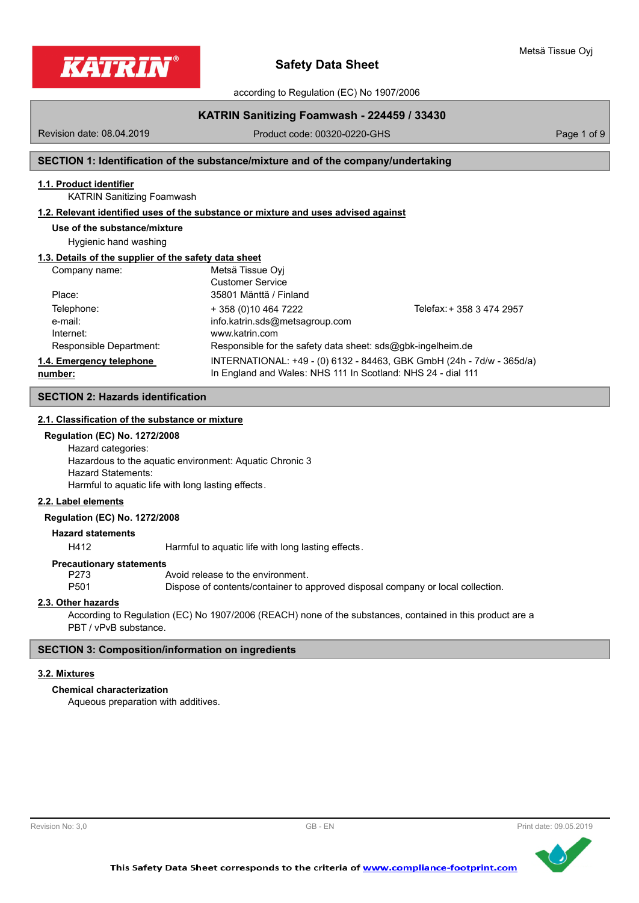



according to Regulation (EC) No 1907/2006

# **KATRIN Sanitizing Foamwash - 224459 / 33430**

Revision date: 08.04.2019

Product code: 00320-0220-GHS Product code: 00320-0220-GHS

# **SECTION 1: Identification of the substance/mixture and of the company/undertaking**

# **1.1. Product identifier**

KATRIN Sanitizing Foamwash

# **1.2. Relevant identified uses of the substance or mixture and uses advised against**

# **Use of the substance/mixture**

Hygienic hand washing

## **1.3. Details of the supplier of the safety data sheet**

| Company name:            | Metsä Tissue Ovi                                             |                                                                       |
|--------------------------|--------------------------------------------------------------|-----------------------------------------------------------------------|
|                          | <b>Customer Service</b>                                      |                                                                       |
| Place:                   | 35801 Mänttä / Finland                                       |                                                                       |
| Telephone:               | + 358 (0) 10 464 7222                                        | Telefax: + 358 3 474 2957                                             |
| e-mail:                  | info.katrin.sds@metsagroup.com                               |                                                                       |
| Internet:                | www.katrin.com                                               |                                                                       |
| Responsible Department:  | Responsible for the safety data sheet: sds@gbk-ingelheim.de  |                                                                       |
| 1.4. Emergency telephone |                                                              | INTERNATIONAL: +49 - (0) 6132 - 84463, GBK GmbH (24h - 7d/w - 365d/a) |
| number:                  | In England and Wales: NHS 111 In Scotland: NHS 24 - dial 111 |                                                                       |

# **SECTION 2: Hazards identification**

# **2.1. Classification of the substance or mixture**

### **Regulation (EC) No. 1272/2008**

Hazard categories: Hazardous to the aquatic environment: Aquatic Chronic 3 Hazard Statements: Harmful to aquatic life with long lasting effects.

#### **2.2. Label elements**

#### **Regulation (EC) No. 1272/2008**

**Hazard statements**

H412 Harmful to aquatic life with long lasting effects.

#### **Precautionary statements**

P273 Avoid release to the environment.

P501 Dispose of contents/container to approved disposal company or local collection.

# **2.3. Other hazards**

According to Regulation (EC) No 1907/2006 (REACH) none of the substances, contained in this product are a PBT / vPvB substance.

# **SECTION 3: Composition/information on ingredients**

#### **3.2. Mixtures**

# **Chemical characterization**

Aqueous preparation with additives.



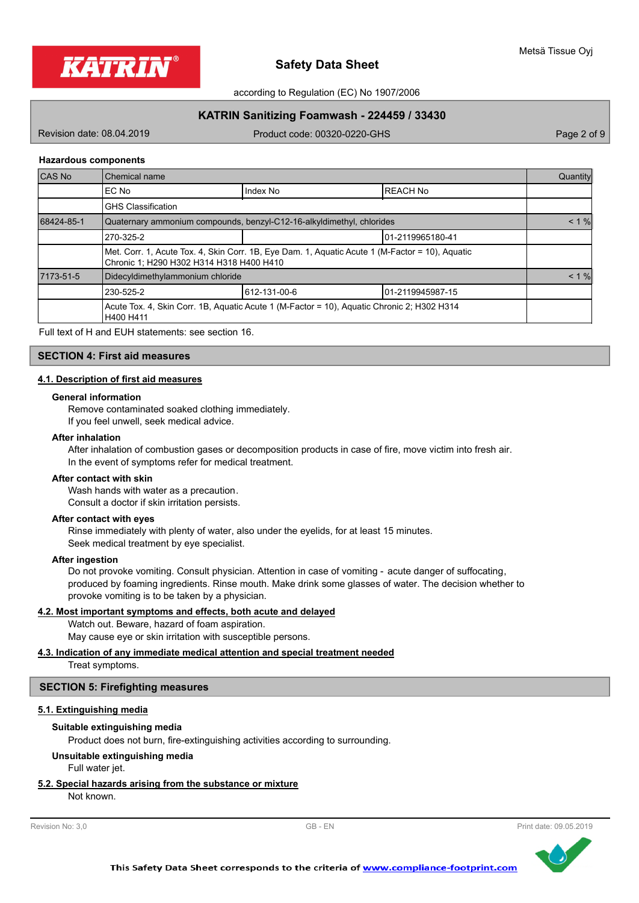

according to Regulation (EC) No 1907/2006

# **KATRIN Sanitizing Foamwash - 224459 / 33430**

Revision date: 08.04.2019

Product code: 00320-0220-GHS Product code: 00320-0220-GHS

#### **Hazardous components**

| CAS No     | Chemical name                                 |                                                                                                 |                 |          |
|------------|-----------------------------------------------|-------------------------------------------------------------------------------------------------|-----------------|----------|
|            | IEC No                                        | Index No                                                                                        | <b>REACH No</b> |          |
|            | <b>GHS Classification</b>                     |                                                                                                 |                 |          |
| 68424-85-1 |                                               | Quaternary ammonium compounds, benzyl-C12-16-alkyldimethyl, chlorides                           |                 | $< 1 \%$ |
|            | 270-325-2                                     | 101-2119965180-41                                                                               |                 |          |
|            | Chronic 1; H290 H302 H314 H318 H400 H410      | Met. Corr. 1, Acute Tox. 4, Skin Corr. 1B, Eye Dam. 1, Aquatic Acute 1 (M-Factor = 10), Aquatic |                 |          |
| 7173-51-5  | Didecyldimethylammonium chloride              |                                                                                                 |                 | $< 1 \%$ |
|            | 612-131-00-6<br>230-525-2<br>01-2119945987-15 |                                                                                                 |                 |          |
|            | H400 H411                                     | Acute Tox. 4, Skin Corr. 1B, Aquatic Acute 1 (M-Factor = 10), Aquatic Chronic 2; H302 H314      |                 |          |

Full text of H and EUH statements: see section 16.

# **SECTION 4: First aid measures**

#### **4.1. Description of first aid measures**

#### **General information**

Remove contaminated soaked clothing immediately.

If you feel unwell, seek medical advice.

#### **After inhalation**

After inhalation of combustion gases or decomposition products in case of fire, move victim into fresh air. In the event of symptoms refer for medical treatment.

#### **After contact with skin**

Wash hands with water as a precaution. Consult a doctor if skin irritation persists.

# **After contact with eyes**

Rinse immediately with plenty of water, also under the eyelids, for at least 15 minutes. Seek medical treatment by eye specialist.

#### **After ingestion**

Do not provoke vomiting. Consult physician. Attention in case of vomiting - acute danger of suffocating, produced by foaming ingredients. Rinse mouth. Make drink some glasses of water. The decision whether to provoke vomiting is to be taken by a physician.

### **4.2. Most important symptoms and effects, both acute and delayed**

Watch out. Beware, hazard of foam aspiration. May cause eye or skin irritation with susceptible persons.

#### **4.3. Indication of any immediate medical attention and special treatment needed**

Treat symptoms.

#### **SECTION 5: Firefighting measures**

#### **5.1. Extinguishing media**

#### **Suitable extinguishing media**

Product does not burn, fire-extinguishing activities according to surrounding.

#### **Unsuitable extinguishing media**

Full water jet.

#### **5.2. Special hazards arising from the substance or mixture**

Not known.

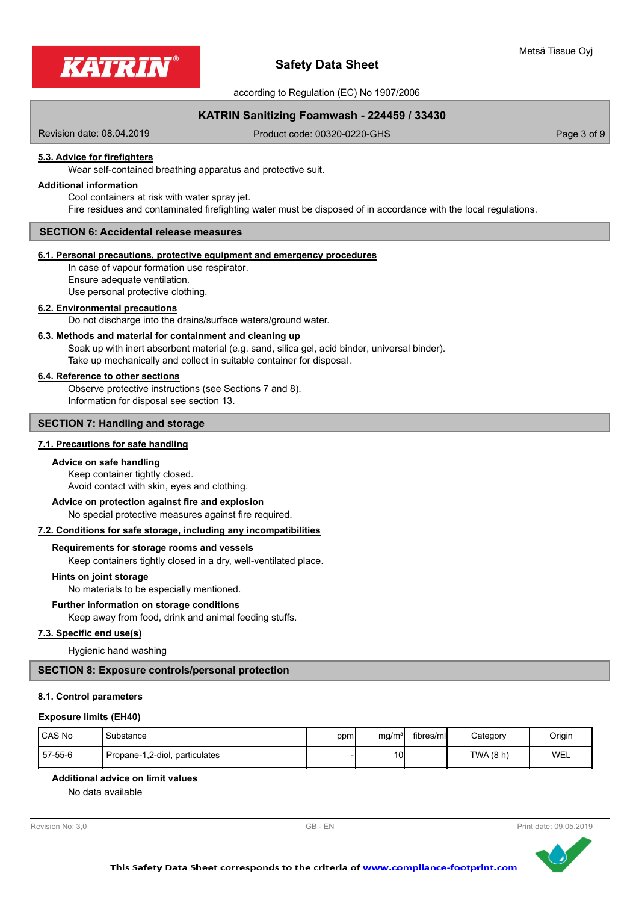

according to Regulation (EC) No 1907/2006

# **KATRIN Sanitizing Foamwash - 224459 / 33430**

Revision date: 08.04.2019

Product code: 00320-0220-GHS Product code: 00320-0220-GHS

# **5.3. Advice for firefighters**

Wear self-contained breathing apparatus and protective suit.

#### **Additional information**

Cool containers at risk with water spray jet. Fire residues and contaminated firefighting water must be disposed of in accordance with the local regulations.

### **SECTION 6: Accidental release measures**

#### **6.1. Personal precautions, protective equipment and emergency procedures**

In case of vapour formation use respirator. Ensure adequate ventilation. Use personal protective clothing.

#### **6.2. Environmental precautions**

Do not discharge into the drains/surface waters/ground water.

#### **6.3. Methods and material for containment and cleaning up**

Soak up with inert absorbent material (e.g. sand, silica gel, acid binder, universal binder). Take up mechanically and collect in suitable container for disposal .

### **6.4. Reference to other sections**

Observe protective instructions (see Sections 7 and 8). Information for disposal see section 13.

# **SECTION 7: Handling and storage**

### **7.1. Precautions for safe handling**

#### **Advice on safe handling**

Keep container tightly closed. Avoid contact with skin, eyes and clothing.

#### **Advice on protection against fire and explosion**

No special protective measures against fire required.

# **7.2. Conditions for safe storage, including any incompatibilities**

#### **Requirements for storage rooms and vessels**

Keep containers tightly closed in a dry, well-ventilated place.

#### **Hints on joint storage**

No materials to be especially mentioned.

#### **Further information on storage conditions**

Keep away from food, drink and animal feeding stuffs.

### **7.3. Specific end use(s)**

Hygienic hand washing

#### **SECTION 8: Exposure controls/personal protection**

# **8.1. Control parameters**

#### **Exposure limits (EH40)**

| CAS No  | <sup>'</sup> Substance         | ppm, | mg/m <sup>31</sup> | fibres/mll | Category  | Origin |
|---------|--------------------------------|------|--------------------|------------|-----------|--------|
| 57-55-6 | Propane-1,2-diol, particulates |      | 10I                |            | TWA (8 h) | WEL    |

## **Additional advice on limit values**

No data available

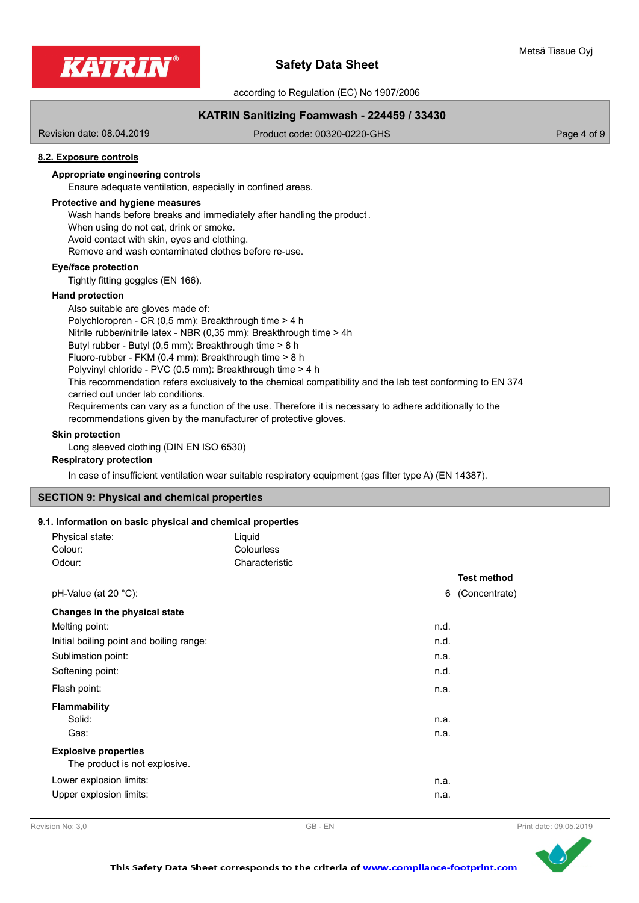

according to Regulation (EC) No 1907/2006

# **KATRIN Sanitizing Foamwash - 224459 / 33430**

Revision date: 08.04.2019

Product code: 00320-0220-GHS Product code: 00320-0220-GHS

# **8.2. Exposure controls**

# **Appropriate engineering controls**

Ensure adequate ventilation, especially in confined areas.

#### **Protective and hygiene measures**

Wash hands before breaks and immediately after handling the product .

When using do not eat, drink or smoke. Avoid contact with skin, eyes and clothing.

Remove and wash contaminated clothes before re-use.

# **Eye/face protection**

Tightly fitting goggles (EN 166).

#### **Hand protection**

Also suitable are gloves made of: Polychloropren - CR (0,5 mm): Breakthrough time > 4 h Nitrile rubber/nitrile latex - NBR (0,35 mm): Breakthrough time > 4h Butyl rubber - Butyl (0,5 mm): Breakthrough time > 8 h Fluoro-rubber - FKM (0.4 mm): Breakthrough time > 8 h Polyvinyl chloride - PVC (0.5 mm): Breakthrough time > 4 h This recommendation refers exclusively to the chemical compatibility and the lab test conforming to EN 374 carried out under lab conditions. Requirements can vary as a function of the use. Therefore it is necessary to adhere additionally to the recommendations given by the manufacturer of protective gloves.

#### **Skin protection**

Long sleeved clothing (DIN EN ISO 6530)

## **Respiratory protection**

In case of insufficient ventilation wear suitable respiratory equipment (gas filter type A) (EN 14387).

#### **SECTION 9: Physical and chemical properties**

#### **9.1. Information on basic physical and chemical properties**

| Physical state:                          | Liquid            |      |                    |
|------------------------------------------|-------------------|------|--------------------|
| Colour:                                  | <b>Colourless</b> |      |                    |
| Odour:                                   | Characteristic    |      |                    |
|                                          |                   |      | <b>Test method</b> |
| pH-Value (at 20 °C):                     |                   | 6    | (Concentrate)      |
| Changes in the physical state            |                   |      |                    |
| Melting point:                           |                   | n.d. |                    |
| Initial boiling point and boiling range: |                   | n.d. |                    |
| Sublimation point:                       |                   | n.a. |                    |
| Softening point:                         |                   | n.d. |                    |
| Flash point:                             |                   | n.a. |                    |
| <b>Flammability</b>                      |                   |      |                    |
| Solid:                                   |                   | n.a. |                    |
| Gas:                                     |                   | n.a. |                    |
| <b>Explosive properties</b>              |                   |      |                    |
| The product is not explosive.            |                   |      |                    |
| Lower explosion limits:                  |                   | n.a. |                    |
| Upper explosion limits:                  |                   | n.a. |                    |



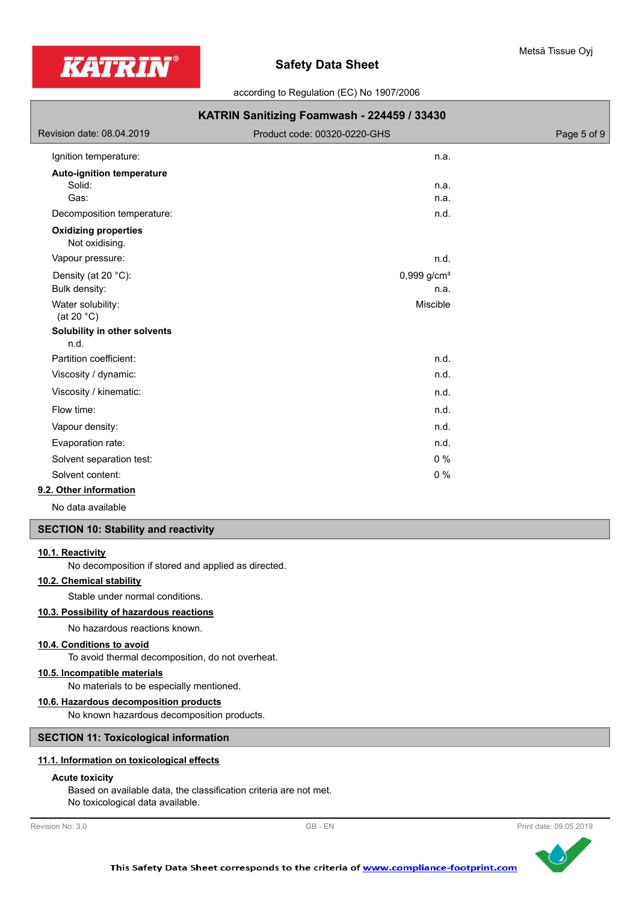

according to Regulation (EC) No 1907/2006

| KATRIN Sanitizing Foamwash - 224459 / 33430 |             |  |
|---------------------------------------------|-------------|--|
| Product code: 00320-0220-GHS                | Page 5 of 9 |  |
| n.a.                                        |             |  |
|                                             |             |  |
| n.a.                                        |             |  |
|                                             |             |  |
| n.d.                                        |             |  |
|                                             |             |  |
| n.d.                                        |             |  |
| $0,999$ g/cm <sup>3</sup>                   |             |  |
| n.a.                                        |             |  |
| Miscible                                    |             |  |
|                                             |             |  |
| n.d.                                        |             |  |
| n.d.                                        |             |  |
| n.d.                                        |             |  |
| n.d.                                        |             |  |
| n.d.                                        |             |  |
| n.d.                                        |             |  |
| 0%                                          |             |  |
| 0%                                          |             |  |
|                                             | n.a.        |  |

# **9.2. Other information**

No data available

### **SECTION 10: Stability and reactivity**

# **10.1. Reactivity**

No decomposition if stored and applied as directed.

# **10.2. Chemical stability**

Stable under normal conditions.

# **10.3. Possibility of hazardous reactions**

No hazardous reactions known.

# **10.4. Conditions to avoid**

To avoid thermal decomposition, do not overheat.

# **10.5. Incompatible materials**

No materials to be especially mentioned.

# **10.6. Hazardous decomposition products**

No known hazardous decomposition products.

# **SECTION 11: Toxicological information**

# **11.1. Information on toxicological effects**

# **Acute toxicity**

Based on available data, the classification criteria are not met. No toxicological data available.



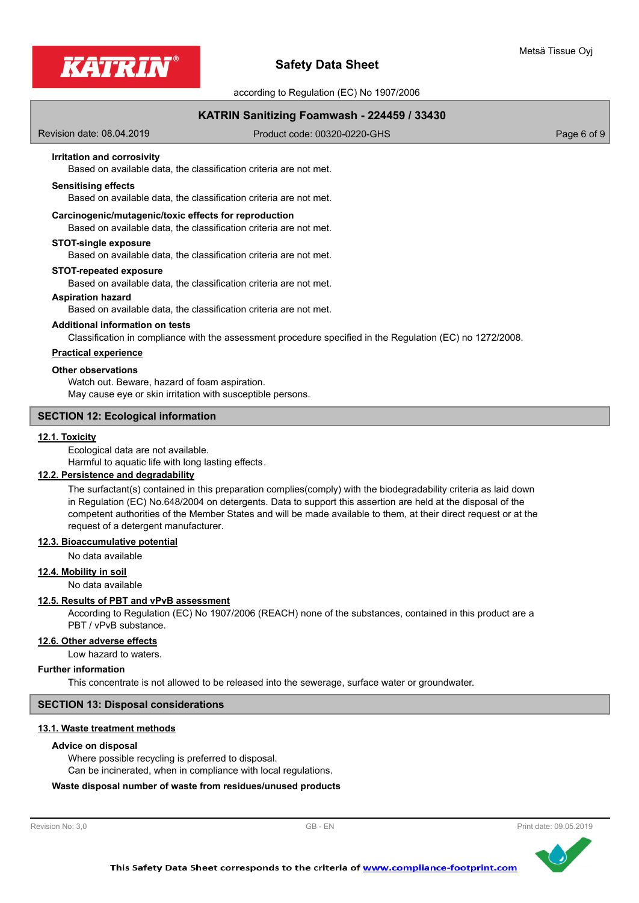

according to Regulation (EC) No 1907/2006

# **KATRIN Sanitizing Foamwash - 224459 / 33430**

Revision date: 08.04.2019

Product code: 00320-0220-GHS Product code: 00320-0220-GHS

### **Irritation and corrosivity**

Based on available data, the classification criteria are not met.

#### **Sensitising effects**

Based on available data, the classification criteria are not met.

#### **Carcinogenic/mutagenic/toxic effects for reproduction**

Based on available data, the classification criteria are not met.

#### **STOT-single exposure**

Based on available data, the classification criteria are not met.

#### **STOT-repeated exposure**

Based on available data, the classification criteria are not met.

#### **Aspiration hazard**

Based on available data, the classification criteria are not met.

#### **Additional information on tests**

Classification in compliance with the assessment procedure specified in the Regulation (EC) no 1272/2008.

# **Practical experience**

# **Other observations**

Watch out. Beware, hazard of foam aspiration. May cause eye or skin irritation with susceptible persons.

# **SECTION 12: Ecological information**

#### **12.1. Toxicity**

Ecological data are not available.

Harmful to aquatic life with long lasting effects.

# **12.2. Persistence and degradability**

The surfactant(s) contained in this preparation complies(comply) with the biodegradability criteria as laid down in Regulation (EC) No.648/2004 on detergents. Data to support this assertion are held at the disposal of the competent authorities of the Member States and will be made available to them, at their direct request or at the request of a detergent manufacturer.

**12.3. Bioaccumulative potential**

#### No data available

**12.4. Mobility in soil**

No data available

#### **12.5. Results of PBT and vPvB assessment**

According to Regulation (EC) No 1907/2006 (REACH) none of the substances, contained in this product are a PBT / vPvB substance.

#### **12.6. Other adverse effects**

Low hazard to waters.

#### **Further information**

This concentrate is not allowed to be released into the sewerage, surface water or groundwater.

#### **SECTION 13: Disposal considerations**

#### **13.1. Waste treatment methods**

#### **Advice on disposal**

Where possible recycling is preferred to disposal. Can be incinerated, when in compliance with local regulations.

#### **Waste disposal number of waste from residues/unused products**

Revision No: 3,0 GB - EN Revision No: 3,0 Print date: 09.05.2019

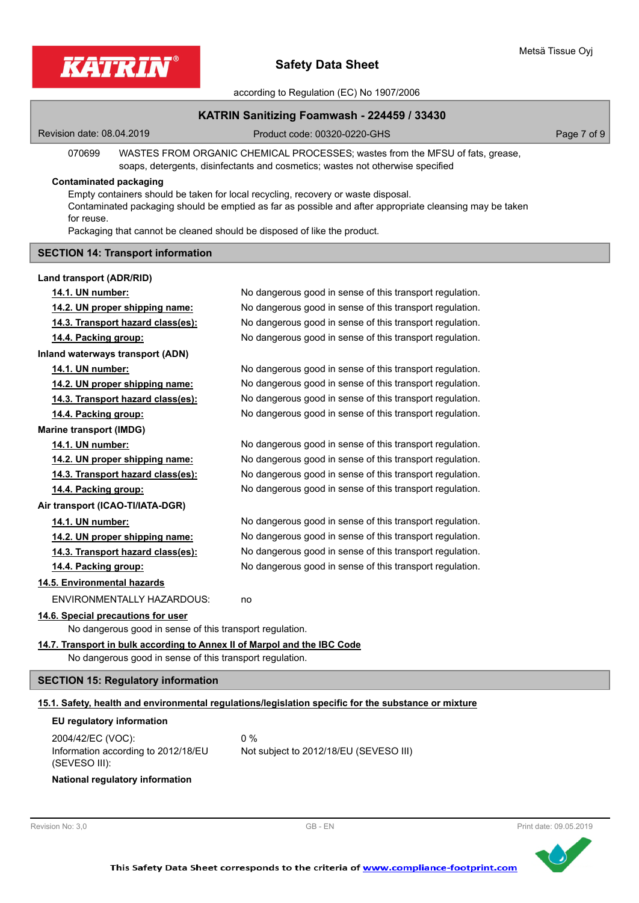

according to Regulation (EC) No 1907/2006

# **KATRIN Sanitizing Foamwash - 224459 / 33430**

Revision date: 08.04.2019

Product code: 00320-0220-GHS Product code: 00320-0220-GHS

070699 WASTES FROM ORGANIC CHEMICAL PROCESSES; wastes from the MFSU of fats, grease, soaps, detergents, disinfectants and cosmetics; wastes not otherwise specified

# **Contaminated packaging**

Empty containers should be taken for local recycling, recovery or waste disposal. Contaminated packaging should be emptied as far as possible and after appropriate cleansing may be taken for reuse.

Packaging that cannot be cleaned should be disposed of like the product.

## **SECTION 14: Transport information**

| Land transport (ADR/RID)                                                 |                                                          |
|--------------------------------------------------------------------------|----------------------------------------------------------|
| 14.1. UN number:                                                         | No dangerous good in sense of this transport regulation. |
| 14.2. UN proper shipping name:                                           | No dangerous good in sense of this transport regulation. |
| 14.3. Transport hazard class(es):                                        | No dangerous good in sense of this transport regulation. |
| <u>14.4. Packing group:</u>                                              | No dangerous good in sense of this transport regulation. |
| Inland waterways transport (ADN)                                         |                                                          |
| 14.1. UN number:                                                         | No dangerous good in sense of this transport regulation. |
| 14.2. UN proper shipping name:                                           | No dangerous good in sense of this transport regulation. |
| 14.3. Transport hazard class(es):                                        | No dangerous good in sense of this transport regulation. |
| 14.4. Packing group:                                                     | No dangerous good in sense of this transport regulation. |
| <b>Marine transport (IMDG)</b>                                           |                                                          |
| 14.1. UN number:                                                         | No dangerous good in sense of this transport regulation. |
| 14.2. UN proper shipping name:                                           | No dangerous good in sense of this transport regulation. |
| 14.3. Transport hazard class(es):                                        | No dangerous good in sense of this transport regulation. |
| 14.4. Packing group:                                                     | No dangerous good in sense of this transport regulation. |
| Air transport (ICAO-TI/IATA-DGR)                                         |                                                          |
| 14.1. UN number:                                                         | No dangerous good in sense of this transport regulation. |
| 14.2. UN proper shipping name:                                           | No dangerous good in sense of this transport regulation. |
| 14.3. Transport hazard class(es):                                        | No dangerous good in sense of this transport regulation. |
| 14.4. Packing group:                                                     | No dangerous good in sense of this transport regulation. |
| 14.5. Environmental hazards                                              |                                                          |
| <b>ENVIRONMENTALLY HAZARDOUS:</b>                                        | no                                                       |
| 14.6. Special precautions for user                                       |                                                          |
| No dangerous good in sense of this transport regulation.                 |                                                          |
| 14.7. Transport in bulk according to Annex II of Marpol and the IBC Code |                                                          |
| No dangerous good in sense of this transport regulation.                 |                                                          |
| <b>SECTION 15: Regulatory information</b>                                |                                                          |

# **15.1. Safety, health and environmental regulations/legislation specific for the substance or mixture**

| EU regulatory information |  |
|---------------------------|--|
|---------------------------|--|

| 2004/42/EC (VOC):                   | $0\%$                                  |
|-------------------------------------|----------------------------------------|
| Information according to 2012/18/EU | Not subject to 2012/18/EU (SEVESO III) |
| (SEVESO III):                       |                                        |

#### **National regulatory information**

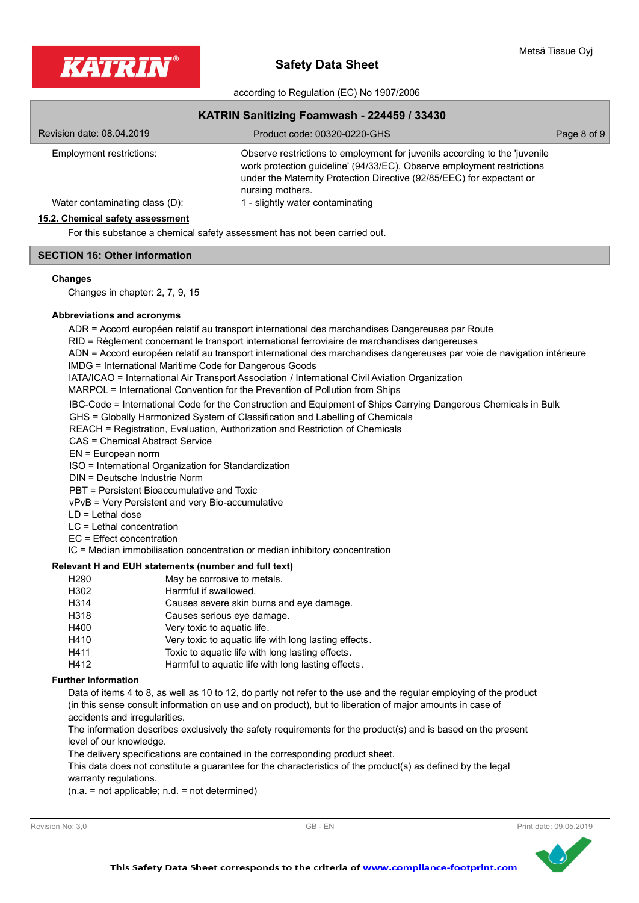

according to Regulation (EC) No 1907/2006

| KATRIN Sanitizing Foamwash - 224459 / 33430 |                                                                                                                                                                                                                                                   |             |
|---------------------------------------------|---------------------------------------------------------------------------------------------------------------------------------------------------------------------------------------------------------------------------------------------------|-------------|
| Revision date: 08.04.2019                   | Product code: 00320-0220-GHS                                                                                                                                                                                                                      | Page 8 of 9 |
| Employment restrictions:                    | Observe restrictions to employment for juvenils according to the 'juvenile<br>work protection guideline' (94/33/EC). Observe employment restrictions<br>under the Maternity Protection Directive (92/85/EEC) for expectant or<br>nursing mothers. |             |
| Water contaminating class (D):              | 1 - slightly water contaminating                                                                                                                                                                                                                  |             |
| 15.2. Chemical safety assessment            |                                                                                                                                                                                                                                                   |             |

For this substance a chemical safety assessment has not been carried out.

# **SECTION 16: Other information**

#### **Changes**

Changes in chapter: 2, 7, 9, 15

# **Abbreviations and acronyms**

ADR = Accord européen relatif au transport international des marchandises Dangereuses par Route

RID = Règlement concernant le transport international ferroviaire de marchandises dangereuses

ADN = Accord européen relatif au transport international des marchandises dangereuses par voie de navigation intérieure

IMDG = International Maritime Code for Dangerous Goods

IATA/ICAO = International Air Transport Association / International Civil Aviation Organization

MARPOL = International Convention for the Prevention of Pollution from Ships

IBC-Code = International Code for the Construction and Equipment of Ships Carrying Dangerous Chemicals in Bulk

GHS = Globally Harmonized System of Classification and Labelling of Chemicals

REACH = Registration, Evaluation, Authorization and Restriction of Chemicals

CAS = Chemical Abstract Service

EN = European norm

ISO = International Organization for Standardization

DIN = Deutsche Industrie Norm

PBT = Persistent Bioaccumulative and Toxic

vPvB = Very Persistent and very Bio-accumulative

LD = Lethal dose

LC = Lethal concentration

EC = Effect concentration

IC = Median immobilisation concentration or median inhibitory concentration

# **Relevant H and EUH statements (number and full text)**

| H <sub>290</sub> | May be corrosive to metals.                           |
|------------------|-------------------------------------------------------|
| H302             | Harmful if swallowed.                                 |
| H314             | Causes severe skin burns and eye damage.              |
| H318             | Causes serious eye damage.                            |
| H400             | Very toxic to aquatic life.                           |
| H410             | Very toxic to aquatic life with long lasting effects. |
| H411             | Toxic to aquatic life with long lasting effects.      |
| H412             | Harmful to aquatic life with long lasting effects.    |
|                  |                                                       |

#### **Further Information**

Data of items 4 to 8, as well as 10 to 12, do partly not refer to the use and the regular employing of the product (in this sense consult information on use and on product), but to liberation of major amounts in case of accidents and irregularities.

The information describes exclusively the safety requirements for the product(s) and is based on the present level of our knowledge.

The delivery specifications are contained in the corresponding product sheet.

This data does not constitute a guarantee for the characteristics of the product(s) as defined by the legal warranty regulations.

(n.a. = not applicable; n.d. = not determined)



Metsä Tissue Oyj